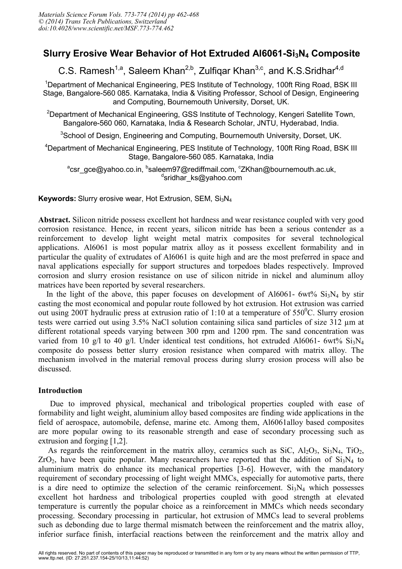# **Slurry Erosive Wear Behavior of Hot Extruded Al6061-Si3N4 Composite**

C.S. Ramesh<sup>1,a</sup>, Saleem Khan<sup>2,b</sup>, Zulfiqar Khan<sup>3,c</sup>, and K.S.Sridhar<sup>4,d</sup>

<sup>1</sup>Department of Mechanical Engineering, PES Institute of Technology, 100ft Ring Road, BSK III Stage, Bangalore-560 085. Karnataka, India & Visiting Professor, School of Design, Engineering and Computing, Bournemouth University, Dorset, UK.

<sup>2</sup>Department of Mechanical Engineering, GSS Institute of Technology, Kengeri Satellite Town, Bangalore-560 060, Karnataka, India & Research Scholar, JNTU, Hyderabad, India.

<sup>3</sup>School of Design, Engineering and Computing, Bournemouth University, Dorset, UK.

<sup>4</sup>Department of Mechanical Engineering, PES Institute of Technology, 100ft Ring Road, BSK III Stage, Bangalore-560 085. Karnataka, India

<sup>a</sup>csr\_gce@yahoo.co.in, <sup>b</sup>saleem97@rediffmail.com, <sup>c</sup>ZKhan@bournemouth.ac.uk, d sridhar\_ks@yahoo.com

**Keywords:** Slurry erosive wear, Hot Extrusion, SEM, Si<sub>3</sub>N<sub>4</sub>

**Abstract.** Silicon nitride possess excellent hot hardness and wear resistance coupled with very good corrosion resistance. Hence, in recent years, silicon nitride has been a serious contender as a reinforcement to develop light weight metal matrix composites for several technological applications. Al6061 is most popular matrix alloy as it possess excellent formability and in particular the quality of extrudates of Al6061 is quite high and are the most preferred in space and naval applications especially for support structures and torpedoes blades respectively. Improved corrosion and slurry erosion resistance on use of silicon nitride in nickel and aluminum alloy matrices have been reported by several researchers.

In the light of the above, this paper focuses on development of Al6061- 6wt%  $Si<sub>3</sub>N<sub>4</sub>$  by stir casting the most economical and popular route followed by hot extrusion. Hot extrusion was carried out using 200T hydraulic press at extrusion ratio of 1:10 at a temperature of  $550^{\circ}$ C. Slurry erosion tests were carried out using 3.5% NaCl solution containing silica sand particles of size 312 µm at different rotational speeds varying between 300 rpm and 1200 rpm. The sand concentration was varied from 10 g/l to 40 g/l. Under identical test conditions, hot extruded Al6061-  $6wt\%$  Si<sub>3</sub>N<sub>4</sub> composite do possess better slurry erosion resistance when compared with matrix alloy. The mechanism involved in the material removal process during slurry erosion process will also be discussed.

## **Introduction**

 Due to improved physical, mechanical and tribological properties coupled with ease of formability and light weight, aluminium alloy based composites are finding wide applications in the field of aerospace, automobile, defense, marine etc. Among them, Al6061alloy based composites are more popular owing to its reasonable strength and ease of secondary processing such as extrusion and forging [1,2].

As regards the reinforcement in the matrix alloy, ceramics such as SiC,  $Al_2O_3$ ,  $Si_3N_4$ ,  $TiO_2$ ,  $ZrO<sub>2</sub>$ , have been quite popular. Many researchers have reported that the addition of  $Si<sub>3</sub>N<sub>4</sub>$  to aluminium matrix do enhance its mechanical properties [3-6]. However, with the mandatory requirement of secondary processing of light weight MMCs, especially for automotive parts, there is a dire need to optimize the selection of the ceramic reinforcement.  $Si<sub>3</sub>N<sub>4</sub>$  which possesses excellent hot hardness and tribological properties coupled with good strength at elevated temperature is currently the popular choice as a reinforcement in MMCs which needs secondary processing. Secondary processing in particular, hot extrusion of MMCs lead to several problems such as debonding due to large thermal mismatch between the reinforcement and the matrix alloy, inferior surface finish, interfacial reactions between the reinforcement and the matrix alloy and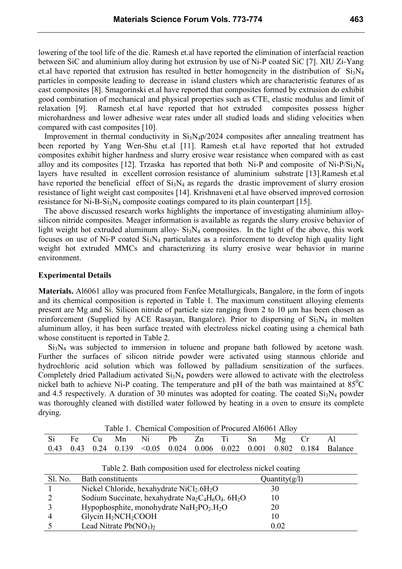lowering of the tool life of the die. Ramesh et.al have reported the elimination of interfacial reaction between SiC and aluminium alloy during hot extrusion by use of Ni-P coated SiC [7]. XIU Zi-Yang et.al have reported that extrusion has resulted in better homogeneity in the distribution of  $Si<sub>3</sub>N<sub>4</sub>$ particles in composite leading to decrease in island clusters which are characteristic features of as cast composites [8]. Smagorinski et.al have reported that composites formed by extrusion do exhibit good combination of mechanical and physical properties such as CTE, elastic modulus and limit of relaxation [9]. Ramesh et.al have reported that hot extruded composites possess higher microhardness and lower adhesive wear rates under all studied loads and sliding velocities when compared with cast composites [10].

Improvement in thermal conductivity in  $Si<sub>3</sub>N<sub>4</sub>p/2024$  composites after annealing treatment has been reported by Yang Wen-Shu et.al [11]. Ramesh et.al have reported that hot extruded composites exhibit higher hardness and slurry erosive wear resistance when compared with as cast alloy and its composites [12]. Trzaska has reported that both Ni-P and composite of Ni-P/Si<sub>3</sub>N<sub>4</sub> layers have resulted in excellent corrosion resistance of aluminium substrate [13].Ramesh et.al have reported the beneficial effect of  $Si<sub>3</sub>N<sub>4</sub>$  as regards the drastic improvement of slurry erosion resistance of light weight cast composites [14]. Krishnaveni et.al have observed improved corrosion resistance for Ni-B-Si<sub>3</sub>N<sub>4</sub> composite coatings compared to its plain counterpart [15].

 The above discussed research works highlights the importance of investigating aluminium alloysilicon nitride composites. Meager information is available as regards the slurry erosive behavior of light weight hot extruded aluminum alloy- $Si_3N_4$  composites. In the light of the above, this work focuses on use of Ni-P coated  $Si<sub>3</sub>N<sub>4</sub>$  particulates as a reinforcement to develop high quality light weight hot extruded MMCs and characterizing its slurry erosive wear behavior in marine environment.

#### **Experimental Details**

**Materials.** Al6061 alloy was procured from Fenfee Metallurgicals, Bangalore, in the form of ingots and its chemical composition is reported in Table 1. The maximum constituent alloying elements present are Mg and Si. Silicon nitride of particle size ranging from 2 to 10 µm has been chosen as reinforcement (Supplied by ACE Rasayan, Bangalore). Prior to dispersing of  $Si<sub>3</sub>N<sub>4</sub>$  in molten aluminum alloy, it has been surface treated with electroless nickel coating using a chemical bath whose constituent is reported in Table 2.

Si<sub>3</sub>N<sub>4</sub> was subjected to immersion in toluene and propane bath followed by acetone wash. Further the surfaces of silicon nitride powder were activated using stannous chloride and hydrochloric acid solution which was followed by palladium sensitization of the surfaces. Completely dried Palladium activated  $Si<sub>3</sub>N<sub>4</sub>$  powders were allowed to activate with the electroless nickel bath to achieve Ni-P coating. The temperature and pH of the bath was maintained at  $85^{\circ}$ C and 4.5 respectively. A duration of 30 minutes was adopted for coating. The coated  $Si<sub>3</sub>N<sub>4</sub>$  powder was thoroughly cleaned with distilled water followed by heating in a oven to ensure its complete drying.

| Table 1. Chemical Composition of Procured Al6061 Alloy |  |  |  |                                     |  |  |  |  |  |  |                                                                                                  |
|--------------------------------------------------------|--|--|--|-------------------------------------|--|--|--|--|--|--|--------------------------------------------------------------------------------------------------|
|                                                        |  |  |  | Si Fe Cu Mn Ni Pb Zn Ti Sn Mg Cr Al |  |  |  |  |  |  |                                                                                                  |
|                                                        |  |  |  |                                     |  |  |  |  |  |  | $0.43$ $0.43$ $0.24$ $0.139$ $\leq 0.05$ $0.024$ $0.006$ $0.022$ $0.001$ $0.802$ $0.184$ Balance |

Table 2. Bath composition used for electroless nickel coating

| $1$ abre $2$ . Dath composition used for creenbicss meker coating |                                                         |                  |  |  |  |  |  |  |
|-------------------------------------------------------------------|---------------------------------------------------------|------------------|--|--|--|--|--|--|
| Sl. No.                                                           | Bath constituents                                       | Quantity $(g/l)$ |  |  |  |  |  |  |
|                                                                   | Nickel Chloride, hexahydrate $NiCl2.6H2O$               | 30               |  |  |  |  |  |  |
|                                                                   | Sodium Succinate, hexahydrate $Na_2C_4H_6O_4$ . $6H_2O$ |                  |  |  |  |  |  |  |
|                                                                   | Hypophosphite, monohydrate $NaH_2PO_2.H_2O$             | 20               |  |  |  |  |  |  |
|                                                                   | Glycin $H_2NCH_2COOH$                                   |                  |  |  |  |  |  |  |
|                                                                   | Lead Nitrate $Pb(NO_3)_2$                               | 0.02             |  |  |  |  |  |  |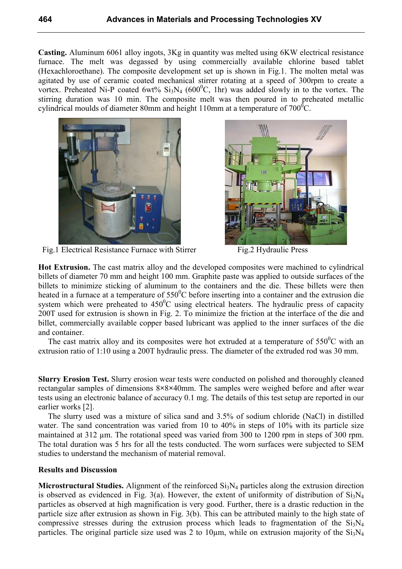**Casting.** Aluminum 6061 alloy ingots, 3Kg in quantity was melted using 6KW electrical resistance furnace. The melt was degassed by using commercially available chlorine based tablet (Hexachloroethane). The composite development set up is shown in Fig.1. The molten metal was agitated by use of ceramic coated mechanical stirrer rotating at a speed of 300rpm to create a vortex. Preheated Ni-P coated 6wt%  $Si_3N_4$  (600<sup>o</sup>C, 1hr) was added slowly in to the vortex. The stirring duration was 10 min. The composite melt was then poured in to preheated metallic cylindrical moulds of diameter 80mm and height 110mm at a temperature of  $700^{\circ}$ C.



Fig.1 Electrical Resistance Furnace with StirrerFig.2 Hydraulic Press



**Hot Extrusion.** The cast matrix alloy and the developed composites were machined to cylindrical billets of diameter 70 mm and height 100 mm. Graphite paste was applied to outside surfaces of the billets to minimize sticking of aluminum to the containers and the die. These billets were then heated in a furnace at a temperature of  $550^{\circ}$ C before inserting into a container and the extrusion die system which were preheated to  $450^{\circ}$ C using electrical heaters. The hydraulic press of capacity 200T used for extrusion is shown in Fig. 2. To minimize the friction at the interface of the die and billet, commercially available copper based lubricant was applied to the inner surfaces of the die and container.

The cast matrix alloy and its composites were hot extruded at a temperature of  $550^{\circ}$ C with an extrusion ratio of 1:10 using a 200T hydraulic press. The diameter of the extruded rod was 30 mm.

**Slurry Erosion Test.** Slurry erosion wear tests were conducted on polished and thoroughly cleaned rectangular samples of dimensions 8**×**8**×**40mm. The samples were weighed before and after wear tests using an electronic balance of accuracy 0.1 mg. The details of this test setup are reported in our earlier works [2].

The slurry used was a mixture of silica sand and 3.5% of sodium chloride (NaCl) in distilled water. The sand concentration was varied from 10 to 40% in steps of 10% with its particle size maintained at 312 µm. The rotational speed was varied from 300 to 1200 rpm in steps of 300 rpm. The total duration was 5 hrs for all the tests conducted. The worn surfaces were subjected to SEM studies to understand the mechanism of material removal.

## **Results and Discussion**

**Microstructural Studies.** Alignment of the reinforced  $Si_3N_4$  particles along the extrusion direction is observed as evidenced in Fig. 3(a). However, the extent of uniformity of distribution of  $Si_3N_4$ particles as observed at high magnification is very good. Further, there is a drastic reduction in the particle size after extrusion as shown in Fig. 3(b). This can be attributed mainly to the high state of compressive stresses during the extrusion process which leads to fragmentation of the  $Si<sub>3</sub>N<sub>4</sub>$ particles. The original particle size used was 2 to 10 $\mu$ m, while on extrusion majority of the Si<sub>3</sub>N<sub>4</sub>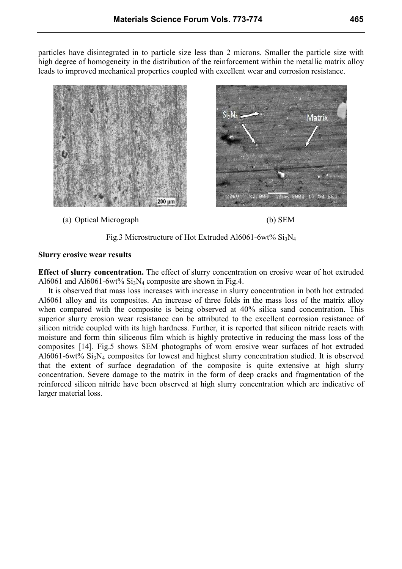particles have disintegrated in to particle size less than 2 microns. Smaller the particle size with high degree of homogeneity in the distribution of the reinforcement within the metallic matrix alloy leads to improved mechanical properties coupled with excellent wear and corrosion resistance.



(a) Optical Micrograph (b) SEM







#### **Slurry erosive wear results**

**Effect of slurry concentration.** The effect of slurry concentration on erosive wear of hot extruded Al6061 and Al6061-6wt%  $Si<sub>3</sub>N<sub>4</sub>$  composite are shown in Fig.4.

It is observed that mass loss increases with increase in slurry concentration in both hot extruded Al6061 alloy and its composites. An increase of three folds in the mass loss of the matrix alloy when compared with the composite is being observed at 40% silica sand concentration. This superior slurry erosion wear resistance can be attributed to the excellent corrosion resistance of silicon nitride coupled with its high hardness. Further, it is reported that silicon nitride reacts with moisture and form thin siliceous film which is highly protective in reducing the mass loss of the composites [14]. Fig.5 shows SEM photographs of worn erosive wear surfaces of hot extruded Al6061-6wt% Si3N4 composites for lowest and highest slurry concentration studied. It is observed that the extent of surface degradation of the composite is quite extensive at high slurry concentration. Severe damage to the matrix in the form of deep cracks and fragmentation of the reinforced silicon nitride have been observed at high slurry concentration which are indicative of larger material loss.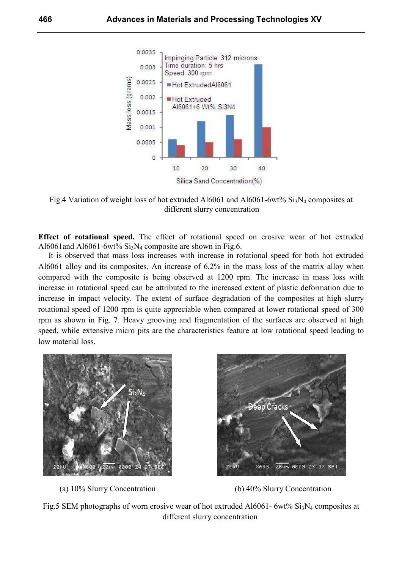

Fig.4 Variation of weight loss of hot extruded Al6061 and Al6061-6wt%  $Si<sub>3</sub>N<sub>4</sub>$  composites at different slurry concentration

**Effect of rotational speed.** The effect of rotational speed on erosive wear of hot extruded Al6061and Al6061-6wt%  $Si<sub>3</sub>N<sub>4</sub>$  composite are shown in Fig.6.

 It is observed that mass loss increases with increase in rotational speed for both hot extruded Al6061 alloy and its composites. An increase of 6.2% in the mass loss of the matrix alloy when compared with the composite is being observed at 1200 rpm. The increase in mass loss with increase in rotational speed can be attributed to the increased extent of plastic deformation due to increase in impact velocity. The extent of surface degradation of the composites at high slurry rotational speed of 1200 rpm is quite appreciable when compared at lower rotational speed of 300 rpm as shown in Fig. 7. Heavy grooving and fragmentation of the surfaces are observed at high speed, while extensive micro pits are the characteristics feature at low rotational speed leading to low material loss.







Fig.5 SEM photographs of worn erosive wear of hot extruded Al6061- 6wt%  $Si<sub>3</sub>N<sub>4</sub>$  composites at different slurry concentration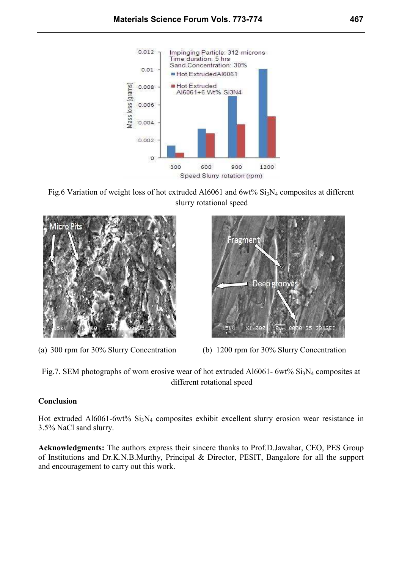







(a) 300 rpm for 30% Slurry Concentration (b) 1200 rpm for 30% Slurry Concentration

Fig.7. SEM photographs of worn erosive wear of hot extruded Al6061-  $6wt\%$  Si<sub>3</sub>N<sub>4</sub> composites at different rotational speed

## **Conclusion**

Hot extruded Al6061-6wt% Si<sub>3</sub>N<sub>4</sub> composites exhibit excellent slurry erosion wear resistance in 3.5% NaCl sand slurry.

**Acknowledgments:** The authors express their sincere thanks to Prof.D.Jawahar, CEO, PES Group of Institutions and Dr.K.N.B.Murthy, Principal & Director, PESIT, Bangalore for all the support and encouragement to carry out this work.